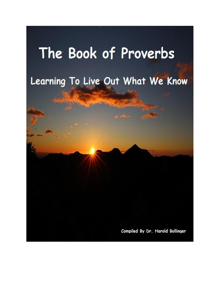# The Book of Proverbs Learning To Live Out What We Know

Compiled By Dr. Harold Bollinger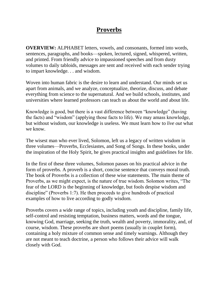# **[Proverbs](http://www.bibleonthenet.com/Proverbs.htm)**

**OVERVIEW:** ALPHABET letters, vowels, and consonants, formed into words, sentences, paragraphs, and books—spoken, lectured, signed, whispered, written, and printed. From friendly advice to impassioned speeches and from dusty volumes to daily tabloids, messages are sent and received with each sender trying to impart knowledge. . . and wisdom.

Woven into human fabric is the desire to learn and understand. Our minds set us apart from animals, and we analyze, conceptualize, theorize, discuss, and debate everything from science to the supernatural. And we build schools, institutes, and universities where learned professors can teach us about the world and about life.

Knowledge is good, but there is a vast difference between "knowledge" (having the facts) and "wisdom" (applying those facts to life). We may amass knowledge, but without wisdom, our knowledge is useless. We must learn how to *live out* what we know.

The wisest man who ever lived, Solomon, left us a legacy of written wisdom in three volumes—Proverbs, Ecclesiastes, and Song of Songs. In these books, under the inspiration of the Holy Spirit, he gives practical insights and guidelines for life.

In the first of these three volumes, Solomon passes on his practical advice in the form of proverbs. A proverb is a short, concise sentence that conveys moral truth. The book of Proverbs is a collection of these wise statements. The main theme of Proverbs, as we might expect, is the nature of true wisdom. Solomon writes, "The fear of the LORD is the beginning of knowledge, but fools despise wisdom and discipline" (Proverbs 1:7). He then proceeds to give hundreds of practical examples of how to live according to godly wisdom.

Proverbs covers a wide range of topics, including youth and discipline, family life, self-control and resisting temptation, business matters, words and the tongue, knowing God, marriage, seeking the truth, wealth and poverty, immorality, and, of course, wisdom. These proverbs are short poems (usually in couplet form), containing a holy mixture of common sense and timely warnings. Although they are not meant to teach doctrine, a person who follows their advice will walk closely with God.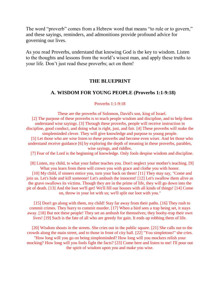The word "proverb" comes from a Hebrew word that means "to rule or to govern," and these sayings, reminders, and admonitions provide profound advice for governing our lives.

As you read Proverbs, understand that knowing God is the key to wisdom. Listen to the thoughts and lessons from the world's wisest man, and apply these truths to your life. Don't just read these proverbs; act on them!

#### **THE BLUEPRINT**

#### **A. WISDOM FOR YOUNG PEOPLE (Proverbs 1:1-9:18)**

#### Proverbs 1:1-9:18

These are the proverbs of Solomon, David's son, king of Israel.

 [2] The purpose of these proverbs is to teach people wisdom and discipline, and to help them understand wise sayings. [3] Through these proverbs, people will receive instruction in discipline, good conduct, and doing what is right, just, and fair. [4] These proverbs will make the

simpleminded clever. They will give knowledge and purpose to young people.

 [5] Let those who are wise listen to these proverbs and become even wiser. And let those who understand receive guidance [6] by exploring the depth of meaning in these proverbs, parables, wise sayings, and riddles.

[7] Fear of the Lord is the beginning of knowledge. Only fools despise wisdom and discipline.

 [8] Listen, my child, to what your father teaches you. Don't neglect your mother's teaching. [9] What you learn from them will crown you with grace and clothe you with honor.

 [10] My child, if sinners entice you, turn your back on them! [11] They may say, "Come and join us. Let's hide and kill someone! Let's ambush the innocent! [12] Let's swallow them alive as the grave swallows its victims. Though they are in the prime of life, they will go down into the pit of death. [13] And the loot we'll get! We'll fill our houses with all kinds of things! [14] Come on, throw in your lot with us; we'll split our loot with you."

 [15] Don't go along with them, my child! Stay far away from their paths. [16] They rush to commit crimes. They hurry to commit murder. [17] When a bird sees a trap being set, it stays away. [18] But not these people! They set an ambush for themselves; they booby-trap their own lives! [19] Such is the fate of all who are greedy for gain. It ends up robbing them of life.

 [20] Wisdom shouts in the streets. She cries out in the public square. [21] She calls out to the crowds along the main street, and to those in front of city hall. [22] "You simpletons!" she cries. "How long will you go on being simpleminded? How long will you mockers relish your mocking? How long will you fools fight the facts? [23] Come here and listen to me! I'll pour out the spirit of wisdom upon you and make you wise.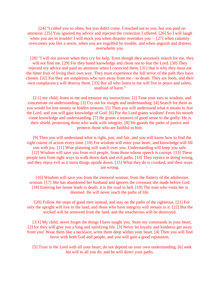[24] "I called you so often, but you didn't come. I reached out to you, but you paid no attention. [25] You ignored my advice and rejected the correction I offered. [26] So I will laugh when you are in trouble! I will mock you when disaster overtakes you— [27] when calamity overcomes you like a storm, when you are engulfed by trouble, and when anguish and distress overwhelm you.

[28] "I will not answer when they cry for help. Even though they anxiously search for me, they will not find me. [29] For they hated knowledge and chose not to fear the Lord. [30] They rejected my advice and paid no attention when I corrected them. [31] that is why they must eat the bitter fruit of living their own way. They must experience the full terror of the path they have chosen. [32] For they are simpletons who turn away from me—to death. They are fools, and their own complacency will destroy them. [33] But all who listen to me will live in peace and safety, unafraid of harm."

 [2:1] my child, listen to me and treasure my instructions. [2] Tune your ears to wisdom, and concentrate on understanding. [3] Cry out for insight and understanding. [4] Search for them as you would for lost money or hidden treasure. [5] Then you will understand what it means to fear the Lord, and you will gain knowledge of God. [6] For the Lord grants wisdom! From his mouth come knowledge and understanding. [7] He grants a treasure of good sense to the godly. He is their shield, protecting those who walk with integrity. [8] He guards the paths of justice and protects those who are faithful to him.

 [9] Then you will understand what is right, just, and fair, and you will know how to find the right course of action every time. [10] For wisdom will enter your heart, and knowledge will fill you with joy. [11] Wise planning will watch over you. Understanding will keep you safe. [12] Wisdom will save you from evil people, from those whose speech is corrupt. [13] These people turn from right ways to walk down dark and evil paths. [14] They rejoice in doing wrong, and they enjoy evil as it turns things upside down. [15] What they do is crooked, and their ways are wrong.

 [16] Wisdom will save you from the immoral woman, from the flattery of the adulterous woman. [17] She has abandoned her husband and ignores the covenant she made before God. [18] Entering her house leads to death; it is the road to hell. [19] The man who visits her is doomed. He will never reach the paths of life.

 [20] Follow the steps of good men instead, and stay on the paths of the righteous. [21] For only the upright will live in the land, and those who have integrity will remain in it. [22] But the wicked will be removed from the land, and the treacherous will be destroyed.

 [3:1] My child, never forget the things I have taught you. Store my commands in your heart, [2] for they will give you a long and satisfying life. [3] Never let loyalty and kindness get away from you! Wear them like a necklace; write them deep within your heart. [4] Then you will find favor with both God and people, and you will gain a good reputation.

 [5] Trust in the Lord with all your heart; do not depend on your own understanding. [6] seek his will in all you do, and he will direct your paths.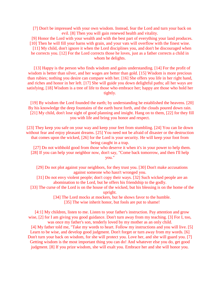[7] Don't be impressed with your own wisdom. Instead, fear the Lord and turn your back on evil. [8] Then you will gain renewed health and vitality.

 [9] Honor the Lord with your wealth and with the best part of everything your land produces. [10] Then he will fill your barns with grain, and your vats will overflow with the finest wine.

 [11] My child, don't ignore it when the Lord disciplines you, and don't be discouraged when he corrects you. [12] For the Lord corrects those he loves, just as a father corrects a child in whom he delights.

 [13] Happy is the person who finds wisdom and gains understanding. [14] For the profit of wisdom is better than silver, and her wages are better than gold. [15] Wisdom is more precious than rubies; nothing you desire can compare with her. [16] She offers you life in her right hand, and riches and honor in her left. [17] She will guide you down delightful paths; all her ways are satisfying. [18] Wisdom is a tree of life to those who embrace her; happy are those who hold her tightly.

 [19] By wisdom the Lord founded the earth; by understanding he established the heavens. [20] By his knowledge the deep fountains of the earth burst forth, and the clouds poured down rain. [21] My child, don't lose sight of good planning and insight. Hang on to them, [22] for they fill you with life and bring you honor and respect.

[23] They keep you safe on your way and keep your feet from stumbling. [24] You can lie down without fear and enjoy pleasant dreams. [25] You need not be afraid of disaster or the destruction that comes upon the wicked, [26] for the Lord is your security. He will keep your foot from being caught in a trap.

 [27] Do not withhold good from those who deserve it when it's in your power to help them. [28] If you can help your neighbor now, don't say, "Come back tomorrow, and then I'll help you."

 [29] Do not plot against your neighbors, for they trust you. [30] Don't make accusations against someone who hasn't wronged you.

[31] Do not envy violent people; don't copy their ways. [32] Such wicked people are an abomination to the Lord, but he offers his friendship to the godly.

[33] The curse of the Lord is on the house of the wicked, but his blessing is on the home of the upright.

> [34] The Lord mocks at mockers, but he shows favor to the humble. [35] The wise inherit honor, but fools are put to shame!

[4:1] My children, listen to me. Listen to your father's instruction. Pay attention and grow wise, [2] for I am giving you good guidance. Don't turn away from my teaching. [3] For I, too,

was once my father's son, tenderly loved by my mother as an only child. [4] My father told me, "Take my words to heart. Follow my instructions and you will live. [5]

Learn to be wise, and develop good judgment. Don't forget or turn away from my words. [6] Don't turn your back on wisdom, for she will protect you. Love her, and she will guard you. [7] Getting wisdom is the most important thing you can do! And whatever else you do, get good judgment. [8] If you prize wisdom, she will exalt you. Embrace her and she will honor you.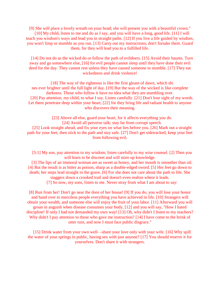[9] She will place a lovely wreath on your head; she will present you with a beautiful crown." [10] My child, listen to me and do as I say, and you will have a long, good life. [11] I will teach you wisdom's ways and lead you in straight paths. [12] If you live a life guided by wisdom, you won't limp or stumble as you run. [13] Carry out my instructions; don't forsake them. Guard them, for they will lead you to a fulfilled life.

 [14] Do not do as the wicked do or follow the path of evildoers. [15] Avoid their haunts. Turn away and go somewhere else, [16] for evil people cannot sleep until they have done their evil deed for the day. They cannot rest unless they have caused someone to stumble. [17] They eat wickedness and drink violence!

[18] The way of the righteous is like the first gleam of dawn, which shi nes ever brighter until the full light of day. [19] But the way of the wicked is like complete darkness. Those who follow it have no idea what they are stumbling over. [20] Pay attention, my child, to what I say. Listen carefully. [21] Don't lose sight of my words. Let them penetrate deep within your heart, [22] for they bring life and radiant health to anyone who discovers their meaning.

> [23] Above all else, guard your heart, for it affects everything you do. [24] Avoid all perverse talk; stay far from corrupt speech.

 [25] Look straight ahead, and fix your eyes on what lies before you. [26] Mark out a straight path for your feet; then stick to the path and stay safe. [27] Don't get sidetracked; keep your feet from following evil.

 [5:1] My son, pay attention to my wisdom; listen carefully to my wise counsel. [2] Then you will learn to be discreet and will store up knowledge.

 [3] The lips of an immoral woman are as sweet as honey, and her mouth is smoother than oil. [4] But the result is as bitter as poison, sharp as a double-edged sword. [5] Her feet go down to death; her steps lead straight to the grave. [6] For she does not care about the path to life. She staggers down a crooked trail and doesn't even realize where it leads.

[7] So now, my sons, listen to me. Never stray from what I am about to say:

[8] Run from her! Don't go near the door of her house! [9] If you do, you will lose your honor and hand over to merciless people everything you have achieved in life. [10] Strangers will obtain your wealth, and someone else will enjoy the fruit of your labor. [11] Afterward you will groan in anguish when disease consumes your body, [12] and you will say, "How I hated discipline! If only I had not demanded my own way! [13] Oh, why didn't I listen to my teachers? Why didn't I pay attention to those who gave me instruction? [14] I have come to the brink of utter ruin, and now I must face public disgrace."

 [15] Drink water from your own well—share your love only with your wife. [16] Why spill the water of your springs in public, having sex with just anyone? [17] You should reserve it for yourselves. Don't share it with strangers.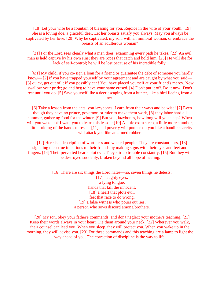[18] Let your wife be a fountain of blessing for you. Rejoice in the wife of your youth. [19] She is a loving doe, a graceful deer. Let her breasts satisfy you always. May you always be captivated by her love. [20] Why be captivated, my son, with an immoral woman, or embrace the breasts of an adulterous woman?

 [21] For the Lord sees clearly what a man does, examining every path he takes. [22] An evil man is held captive by his own sins; they are ropes that catch and hold him. [23] He will die for lack of self-control; he will be lost because of his incredible folly.

[6:1] My child, if you co-sign a loan for a friend or guarantee the debt of someone you hardly know— [2] if you have trapped yourself by your agreement and are caught by what you said— [3] quick, get out of it if you possibly can! You have placed yourself at your friend's mercy. Now swallow your pride; go and beg to have your name erased. [4] Don't put it off. Do it now! Don't rest until you do. [5] Save yourself like a deer escaping from a hunter, like a bird fleeing from a net.

 [6] Take a lesson from the ants, you lazybones. Learn from their ways and be wise! [7] Even though they have no prince, governor, or ruler to make them work, [8] they labor hard all summer, gathering food for the winter. [9] But you, lazybones, how long will you sleep? When will you wake up? I want you to learn this lesson: [10] A little extra sleep, a little more slumber, a little folding of the hands to rest— [11] and poverty will pounce on you like a bandit; scarcity will attack you like an armed robber.

 [12] Here is a description of worthless and wicked people: They are constant liars, [13] signaling their true intentions to their friends by making signs with their eyes and feet and fingers. [14] Their perverted hearts plot evil. They stir up trouble constantly. [15] But they will be destroyed suddenly, broken beyond all hope of healing.

> [16] There are six things the Lord hates—no, seven things he detests: [17] haughty eyes, a lying tongue, hands that kill the innocent, [18] a heart that plots evil, feet that race to do wrong, [19] a false witness who pours out lies, a person who sows discord among brothers.

 [20] My son, obey your father's commands, and don't neglect your mother's teaching. [21] Keep their words always in your heart. Tie them around your neck. [22] Wherever you walk, their counsel can lead you. When you sleep, they will protect you. When you wake up in the morning, they will advise you. [23] For these commands and this teaching are a lamp to light the way ahead of you. The correction of discipline is the way to life.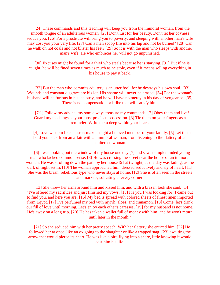[24] These commands and this teaching will keep you from the immoral woman, from the smooth tongue of an adulterous woman. [25] Don't lust for her beauty. Don't let her coyness seduce you. [26] For a prostitute will bring you to poverty, and sleeping with another man's wife may cost you your very life. [27] Can a man scoop fire into his lap and not be burned? [28] Can he walk on hot coals and not blister his feet? [29] So it is with the man who sleeps with another man's wife. He who embraces her will not go unpunished.

[30] Excuses might be found for a thief who steals because he is starving. [31] But if he is caught, he will be fined seven times as much as he stole, even if it means selling everything in his house to pay it back.

 [32] But the man who commits adultery is an utter fool, for he destroys his own soul. [33] Wounds and constant disgrace are his lot. His shame will never be erased. [34] For the woman's husband will be furious in his jealousy, and he will have no mercy in his day of vengeance. [35] There is no compensation or bribe that will satisfy him.

[7:1] Follow my advice, my son; always treasure my commands. [2] Obey them and live! Guard my teachings as your most precious possession. [3] Tie them on your fingers as a reminder. Write them deep within your heart.

 [4] Love wisdom like a sister; make insight a beloved member of your family. [5] Let them hold you back from an affair with an immoral woman, from listening to the flattery of an adulterous woman.

 [6] I was looking out the window of my house one day [7] and saw a simpleminded young man who lacked common sense. [8] He was crossing the street near the house of an immoral woman. He was strolling down the path by her house [9] at twilight, as the day was fading, as the dark of night set in. [10] The woman approached him, dressed seductively and sly of heart. [11] She was the brash, rebellious type who never stays at home. [12] She is often seen in the streets and markets, soliciting at every corner.

 [13] She threw her arms around him and kissed him, and with a brazen look she said, [14] "I've offered my sacrifices and just finished my vows. [15] It's you I was looking for! I came out to find you, and here you are! [16] My bed is spread with colored sheets of finest linen imported from Egypt. [17] I've perfumed my bed with myrrh, aloes, and cinnamon. [18] Come, let's drink our fill of love until morning. Let's enjoy each other's caresses, [19] for my husband is not home. He's away on a long trip. [20] He has taken a wallet full of money with him, and he won't return until later in the month."

 [21] So she seduced him with her pretty speech. With her flattery she enticed him. [22] He followed her at once, like an ox going to the slaughter or like a trapped stag, [23] awaiting the arrow that would pierce its heart. He was like a bird flying into a snare, little knowing it would cost him his life.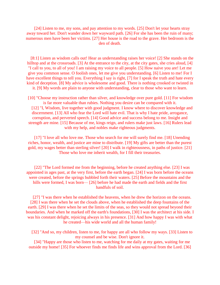[24] Listen to me, my sons, and pay attention to my words. [25] Don't let your hearts stray away toward her. Don't wander down her wayward path. [26] For she has been the ruin of many; numerous men have been her victims. [27] Her house is the road to the grave. Her bedroom is the den of death.

 [8:1] Listen as wisdom calls out! Hear as understanding raises her voice! [2] She stands on the hilltop and at the crossroads. [3] At the entrance to the city, at the city gates, she cries aloud, [4] "I call to you, to all of you! I am raising my voice to all people. [5] How naive you are! Let me give you common sense. O foolish ones, let me give you understanding. [6] Listen to me! For I have excellent things to tell you. Everything I say is right, [7] for I speak the truth and hate every kind of deception. [8] My advice is wholesome and good. There is nothing crooked or twisted in it. [9] My words are plain to anyone with understanding, clear to those who want to learn.

[10] "Choose my instruction rather than silver, and knowledge over pure gold. [11] For wisdom is far more valuable than rubies. Nothing you desire can be compared with it. [12] "I, Wisdom, live together with good judgment. I know where to discover knowledge and discernment. [13] All who fear the Lord will hate evil. That is why I hate pride, arrogance, corruption, and perverted speech. [14] Good advice and success belong to me. Insight and strength are mine. [15] Because of me, kings reign, and rulers make just laws. [16] Rulers lead with my help, and nobles make righteous judgments.

 [17] "I love all who love me. Those who search for me will surely find me. [18] Unending riches, honor, wealth, and justice are mine to distribute. [19] My gifts are better than the purest gold, my wages better than sterling silver! [20] I walk in righteousness, in paths of justice. [21] Those who love me inherit wealth, for I fill their treasuries.

 [22] "The Lord formed me from the beginning, before he created anything else. [23] I was appointed in ages past, at the very first, before the earth began. [24] I was born before the oceans were created, before the springs bubbled forth their waters. [25] Before the mountains and the hills were formed, I was born— [26] before he had made the earth and fields and the first handfuls of soil.

 [27] "I was there when he established the heavens, when he drew the horizon on the oceans. [28] I was there when he set the clouds above, when he established the deep fountains of the earth. [29] I was there when he set the limits of the seas, so they would not spread beyond their boundaries. And when he marked off the earth's foundations, [30] I was the architect at his side. I was his constant delight, rejoicing always in his presence. [31] And how happy I was with what he created—his wide world and all the human family!

[32] "And so, my children, listen to me, for happy are all who follow my ways. [33] Listen to my counsel and be wise. Don't ignore it.

 [34] "Happy are those who listen to me, watching for me daily at my gates, waiting for me outside my home! [35] For whoever finds me finds life and wins approval from the Lord. [36]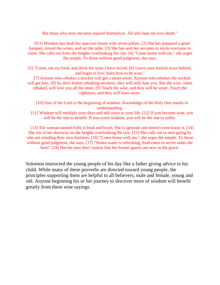But those who miss me have injured themselves. All who hate me love death."

 [9:1] Wisdom has built her spacious house with seven pillars. [2] She has prepared a great banquet, mixed the wines, and set the table. [3] She has sent her servants to invite everyone to come. She calls out from the heights overlooking the city. [4] "Come home with me," she urges the simple. To those without good judgment, she says,

[5] "Come, eat my food, and drink the wine I have mixed. [6] Leave your foolish ways behind, and begin to live; learn how to be wise."

 [7] Anyone who rebukes a mocker will get a smart retort. Anyone who rebukes the wicked will get hurt. [8] So don't bother rebuking mockers; they will only hate you. But the wise, when rebuked, will love you all the more. [9] Teach the wise, and they will be wiser. Teach the righteous, and they will learn more.

- [10] Fear of the Lord is the beginning of wisdom. Knowledge of the Holy One results in understanding.
- [11] Wisdom will multiply your days and add years to your life. [12] If you become wise, you will be the one to benefit. If you scorn wisdom, you will be the one to suffer.

 [13] The woman named Folly is loud and brash. She is ignorant and doesn't even know it. [14] She sits in her doorway on the heights overlooking the city. [15] She calls out to men going by who are minding their own business. [16] "Come home with me," she urges the simple. To those without good judgment, she says, [17] "Stolen water is refreshing; food eaten in secret tastes the best!" [18] But the men don't realize that her former guests are now in the grave.

Solomon instructed the young people of his day like a father giving advice to his child. While many of these proverbs are directed toward young people, the principles supporting them are helpful to all believers, male and female, young and old. Anyone beginning his or her journey to discover more of wisdom will benefit greatly from these wise sayings.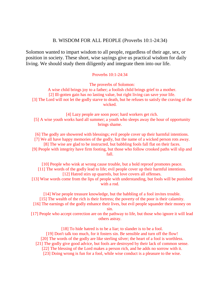#### B. WISDOM FOR ALL PEOPLE (Proverbs 10:1-24:34)

Solomon wanted to impart wisdom to all people, regardless of their age, sex, or position in society. These short, wise sayings give us practical wisdom for daily living. We should study them diligently and integrate them into our life.

#### Proverbs 10:1-24:34

 The proverbs of Solomon: A wise child brings joy to a father; a foolish child brings grief to a mother. [2] Ill-gotten gain has no lasting value, but right living can save your life. [3] The Lord will not let the godly starve to death, but he refuses to satisfy the craving of the wicked.

 [4] Lazy people are soon poor; hard workers get rich. [5] A wise youth works hard all summer; a youth who sleeps away the hour of opportunity brings shame.

[6] The godly are showered with blessings; evil people cover up their harmful intentions.

[7] We all have happy memories of the godly, but the name of a wicked person rots away.

[8] The wise are glad to be instructed, but babbling fools fall flat on their faces.

 [9] People with integrity have firm footing, but those who follow crooked paths will slip and fall.

[10] People who wink at wrong cause trouble, but a bold reproof promotes peace.

- [11] The words of the godly lead to life; evil people cover up their harmful intentions. [12] Hatred stirs up quarrels, but love covers all offenses.
- [13] Wise words come from the lips of people with understanding, but fools will be punished with a rod.

[14] Wise people treasure knowledge, but the babbling of a fool invites trouble.

[15] The wealth of the rich is their fortress; the poverty of the poor is their calamity.

- [16] The earnings of the godly enhance their lives, but evil people squander their money on sin.
- [17] People who accept correction are on the pathway to life, but those who ignore it will lead others astray.

[18] To hide hatred is to be a liar; to slander is to be a fool.

[19] Don't talk too much, for it fosters sin. Be sensible and turn off the flow!

[20] The words of the godly are like sterling silver; the heart of a fool is worthless.

[21] The godly give good advice, but fools are destroyed by their lack of common sense.

[22] The blessing of the Lord makes a person rich, and he adds no sorrow with it.

[23] Doing wrong is fun for a fool, while wise conduct is a pleasure to the wise.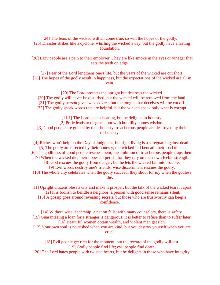[24] The fears of the wicked will all come true; so will the hopes of the godly. [25] Disaster strikes like a cyclone, whirling the wicked away, but the godly have a lasting foundation.

[26] Lazy people are a pain to their employer. They are like smoke in the eyes or vinegar that sets the teeth on edge.

 [27] Fear of the Lord lengthens one's life, but the years of the wicked are cut short. [28] The hopes of the godly result in happiness, but the expectations of the wicked are all in vain.

 [29] The Lord protects the upright but destroys the wicked. [30] The godly will never be disturbed, but the wicked will be removed from the land. [31] The godly person gives wise advice, but the tongue that deceives will be cut off. [32] The godly speak words that are helpful, but the wicked speak only what is corrupt.

 [11:1] The Lord hates cheating, but he delights in honesty. [2] Pride leads to disgrace, but with humility comes wisdom. [3] Good people are guided by their honesty; treacherous people are destroyed by their dishonesty.

 [4] Riches won't help on the Day of Judgment, but right living is a safeguard against death. [5] The godly are directed by their honesty; the wicked fall beneath their load of sin. [6] The godliness of good people rescues them; the ambition of treacherous people traps them. [7] When the wicked die, their hopes all perish, for they rely on their own feeble strength. [8] God rescues the godly from danger, but he lets the wicked fall into trouble. [9] Evil words destroy one's friends; wise discernment rescues the godly. [10] The whole city celebrates when the godly succeed; they shout for joy when the godless

die.

- [11] Upright citizens bless a city and make it prosper, but the talk of the wicked tears it apart. [12] It is foolish to belittle a neighbor; a person with good sense remains silent.
	- [13] A gossip goes around revealing secrets, but those who are trustworthy can keep a confidence.

[14] Without wise leadership, a nation falls; with many counselors, there is safety. [15] Guaranteeing a loan for a stranger is dangerous; it is better to refuse than to suffer later. [16] Beautiful women obtain wealth, and violent men get rich.

 [17] Your own soul is nourished when you are kind, but you destroy yourself when you are cruel.

[18] Evil people get rich for the moment, but the reward of the godly will last. [19] Godly people find life; evil people find death.

[20] The Lord hates people with twisted hearts, but he delights in those who have integrity.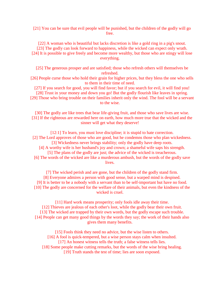[21] You can be sure that evil people will be punished, but the children of the godly will go free.

 [22] A woman who is beautiful but lacks discretion is like a gold ring in a pig's snout. [23] The godly can look forward to happiness, while the wicked can expect only wrath. [24] It is possible to give freely and become more wealthy, but those who are stingy will lose everything.

 [25] The generous prosper and are satisfied; those who refresh others will themselves be refreshed.

 [26] People curse those who hold their grain for higher prices, but they bless the one who sells to them in their time of need.

[27] If you search for good, you will find favor; but if you search for evil, it will find you!

[28] Trust in your money and down you go! But the godly flourish like leaves in spring.

 [29] Those who bring trouble on their families inherit only the wind. The fool will be a servant to the wise.

 [30] The godly are like trees that bear life-giving fruit, and those who save lives are wise. [31] If the righteous are rewarded here on earth, how much more true that the wicked and the sinner will get what they deserve!

 [12:1] To learn, you must love discipline; it is stupid to hate correction. [2] The Lord approves of those who are good, but he condemns those who plan wickedness. [3] Wickedness never brings stability; only the godly have deep roots.

 [4] A worthy wife is her husband's joy and crown; a shameful wife saps his strength. [5] The plans of the godly are just; the advice of the wicked is treacherous.

 [6] The words of the wicked are like a murderous ambush, but the words of the godly save lives.

 [7] The wicked perish and are gone, but the children of the godly stand firm. [8] Everyone admires a person with good sense, but a warped mind is despised. [9] It is better to be a nobody with a servant than to be self-important but have no food. [10] The godly are concerned for the welfare of their animals, but even the kindness of the wicked is cruel.

[11] Hard work means prosperity; only fools idle away their time. [12] Thieves are jealous of each other's loot, while the godly bear their own fruit. [13] The wicked are trapped by their own words, but the godly escape such trouble. [14] People can get many good things by the words they say; the work of their hands also gives them many benefits.

[15] Fools think they need no advice, but the wise listen to others. [16] A fool is quick-tempered, but a wise person stays calm when insulted. [17] An honest witness tells the truth; a false witness tells lies. [18] Some people make cutting remarks, but the words of the wise bring healing. [19] Truth stands the test of time; lies are soon exposed.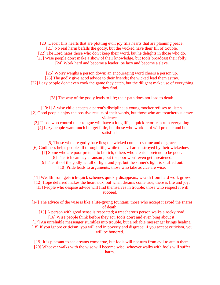[20] Deceit fills hearts that are plotting evil; joy fills hearts that are planning peace! [21] No real harm befalls the godly, but the wicked have their fill of trouble. [22] The Lord hates those who don't keep their word, but he delights in those who do. [23] Wise people don't make a show of their knowledge, but fools broadcast their folly. [24] Work hard and become a leader; be lazy and become a slave.

[25] Worry weighs a person down; an encouraging word cheers a person up.

[26] The godly give good advice to their friends; the wicked lead them astray.

 [27] Lazy people don't even cook the game they catch, but the diligent make use of everything they find.

[28] The way of the godly leads to life; their path does not lead to death.

 [13:1] A wise child accepts a parent's discipline; a young mocker refuses to listen. [2] Good people enjoy the positive results of their words, but those who are treacherous crave violence.

 [3] Those who control their tongue will have a long life; a quick retort can ruin everything. [4] Lazy people want much but get little, but those who work hard will prosper and be satisfied.

 [5] Those who are godly hate lies; the wicked come to shame and disgrace. [6] Godliness helps people all through life, while the evil are destroyed by their wickedness. [7] Some who are poor pretend to be rich; others who are rich pretend to be poor.

[8] The rich can pay a ransom, but the poor won't even get threatened.

 [9] The life of the godly is full of light and joy, but the sinner's light is snuffed out. [10] Pride leads to arguments; those who take advice are wise.

[11] Wealth from get-rich-quick schemes quickly disappears; wealth from hard work grows. [12] Hope deferred makes the heart sick, but when dreams come true, there is life and joy. [13] People who despise advice will find themselves in trouble; those who respect it will succeed.

 [14] The advice of the wise is like a life-giving fountain; those who accept it avoid the snares of death.

[15] A person with good sense is respected; a treacherous person walks a rocky road. [16] Wise people think before they act; fools don't and even brag about it!

[17] An unreliable messenger stumbles into trouble, but a reliable messenger brings healing.

 [18] If you ignore criticism, you will end in poverty and disgrace; if you accept criticism, you will be honored.

 [19] It is pleasant to see dreams come true, but fools will not turn from evil to attain them. [20] Whoever walks with the wise will become wise; whoever walks with fools will suffer

harm.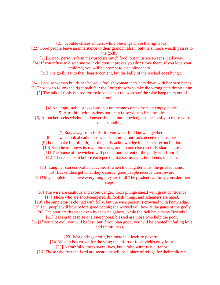[21] Trouble chases sinners, while blessings chase the righteous! [22] Good people leave an inheritance to their grandchildren, but the sinner's wealth passes to the godly.

[23] A poor person's farm may produce much food, but injustice sweeps it all away.

 [24] If you refuse to discipline your children, it proves you don't love them; if you love your children, you will be prompt to discipline them.

[25] The godly eat to their hearts' content, but the belly of the wicked goes hungry.

[14:1] a wise woman builds her house; a foolish woman tears hers down with her own hands. [2] Those who follow the right path fear the Lord; those who take the wrong path despise him. [3] The talk of fools is a rod for their backs, but the words of the wise keep them out of trouble.

 [4] An empty stable stays clean, but no income comes from an empty stable. [5] A truthful witness does not lie; a false witness breathes lies.

 [6] A mocker seeks wisdom and never finds it, but knowledge comes easily to those with understanding.

 [7] Stay away from fools, for you won't find knowledge there. [8] The wise look ahead to see what is coming, but fools deceive themselves. [9] Fools make fun of guilt, but the godly acknowledge it and seek reconciliation. [10] Each heart knows its own bitterness, and no one else can fully share its joy.

[11] The house of the wicked will perish, but the tent of the godly will flourish.

[12] There is a path before each person that seems right, but it ends in death.

 [13] Laughter can conceal a heavy heart; when the laughter ends, the grief remains. [14] Backsliders get what they deserve; good people receive their reward. [15] Only simpletons believe everything they are told! The prudent carefully consider their steps.

 [16] The wise are cautious and avoid danger; fools plunge ahead with great confidence. [17] Those who are short-tempered do foolish things, and schemers are hated. [18] The simpleton is clothed with folly, but the wise person is crowned with knowledge. [19] Evil people will bow before good people; the wicked will bow at the gates of the godly. [20] The poor are despised even by their neighbors, while the rich have many "friends."

[21] It is sin to despise one's neighbors; blessed are those who help the poor. [22] If you plot evil, you will be lost; but if you plan good, you will be granted unfailing love and faithfulness.

[23] Work brings profit, but mere talk leads to poverty!

[24] Wealth is a crown for the wise; the effort of fools yields only folly.

[25] A truthful witness saves lives, but a false witness is a traitor.

[26] Those who fear the Lord are secure; he will be a place of refuge for their children.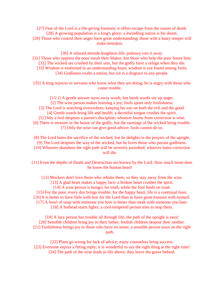[27] Fear of the Lord is a life-giving fountain; it offers escape from the snares of death. [28] A growing population is a king's glory; a dwindling nation is his doom. [29] Those who control their anger have great understanding; those with a hasty temper will make mistakes.

[30] A relaxed attitude lengthens life; jealousy rots it away.

- [31] Those who oppress the poor insult their Maker, but those who help the poor honor him. [32] The wicked are crushed by their sins, but the godly have a refuge when they die.
	- [33] Wisdom is enshrined in an understanding heart; wisdom is not found among fools.
		- [34] Godliness exalts a nation, but sin is a disgrace to any people.
- [35] A king rejoices in servants who know what they are doing; he is angry with those who cause trouble.

[15:1] A gentle answer turns away wrath, but harsh words stir up anger.

- [2] The wise person makes learning a joy; fools spout only foolishness.
- [3] The Lord is watching everywhere, keeping his eye on both the evil and the good. [4] Gentle words bring life and health; a deceitful tongue crushes the spirit.

[5] Only a fool despises a parent's discipline; whoever learns from correction is wise.

- [6] There is treasure in the house of the godly, but the earnings of the wicked bring trouble. [7] Only the wise can give good advice; fools cannot do so.
- [8] The Lord hates the sacrifice of the wicked, but he delights in the prayers of the upright.
	- [9] The Lord despises the way of the wicked, but he loves those who pursue godliness.
- [10] Whoever abandons the right path will be severely punished; whoever hates correction will die.
- [11] Even the depths of Death and Destruction are known by the Lord. How much more does he know the human heart!

[12] Mockers don't love those who rebuke them, so they stay away from the wise. [13] A glad heart makes a happy face; a broken heart crushes the spirit.

- [14] A wise person is hungry for truth, while the fool feeds on trash.
- [15] For the poor, every day brings trouble; for the happy heart, life is a continual feast.
- [16] It is better to have little with fear for the Lord than to have great treasure with turmoil.
- [17] A bowl of soup with someone you love is better than steak with someone you hate.
	- [18] A hothead starts fights; a cool-tempered person tries to stop them.

 [19] A lazy person has trouble all through life; the path of the upright is easy! [20] Sensible children bring joy to their father; foolish children despise their mother. [21] Foolishness brings joy to those who have no sense; a sensible person stays on the right path.

 [22] Plans go wrong for lack of advice; many counselors bring success. [23] Everyone enjoys a fitting reply; it is wonderful to say the right thing at the right time! [24] The path of the wise leads to life above; they leave the grave behind.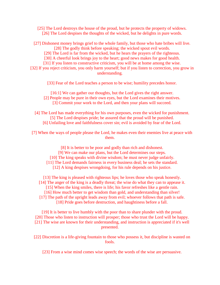[25] The Lord destroys the house of the proud, but he protects the property of widows. [26] The Lord despises the thoughts of the wicked, but he delights in pure words.

 [27] Dishonest money brings grief to the whole family, but those who hate bribes will live. [28] The godly think before speaking; the wicked spout evil words.

[29] The Lord is far from the wicked, but he hears the prayers of the righteous.

[30] A cheerful look brings joy to the heart; good news makes for good health.

[31] If you listen to constructive criticism, you will be at home among the wise.

[32] If you reject criticism, you only harm yourself; but if you listen to correction, you grow in understanding.

[33] Fear of the Lord teaches a person to be wise; humility precedes honor.

[16:1] We can gather our thoughts, but the Lord gives the right answer.

[2] People may be pure in their own eyes, but the Lord examines their motives.

[3] Commit your work to the Lord, and then your plans will succeed.

 [4] The Lord has made everything for his own purposes, even the wicked for punishment. [5] The Lord despises pride; be assured that the proud will be punished.

[6] Unfailing love and faithfulness cover sin; evil is avoided by fear of the Lord.

 [7] When the ways of people please the Lord, he makes even their enemies live at peace with them.

[8] It is better to be poor and godly than rich and dishonest.

- [9] We can make our plans, but the Lord determines our steps.
- [10] The king speaks with divine wisdom; he must never judge unfairly.

[11] The Lord demands fairness in every business deal; he sets the standard.

[12] A king despises wrongdoing, for his rule depends on his justice.

[13] The king is pleased with righteous lips; he loves those who speak honestly.

[14] The anger of the king is a deadly threat; the wise do what they can to appease it.

- [15] When the king smiles, there is life; his favor refreshes like a gentle rain.
- [16] How much better to get wisdom than gold, and understanding than silver!
- [17] The path of the upright leads away from evil; whoever follows that path is safe.

[18] Pride goes before destruction, and haughtiness before a fall.

 [19] It is better to live humbly with the poor than to share plunder with the proud. [20] Those who listen to instruction will prosper; those who trust the Lord will be happy. [21] The wise are known for their understanding, and instruction is appreciated if it's well presented.

 [22] Discretion is a life-giving fountain to those who possess it, but discipline is wasted on fools.

[23] From a wise mind comes wise speech; the words of the wise are persuasive.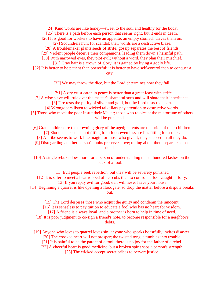[24] Kind words are like honey—sweet to the soul and healthy for the body.

[25] There is a path before each person that seems right, but it ends in death.

[26] It is good for workers to have an appetite; an empty stomach drives them on.

[27] Scoundrels hunt for scandal; their words are a destructive blaze.

[28] A troublemaker plants seeds of strife; gossip separates the best of friends.

[29] Violent people deceive their companions, leading them down a harmful path.

[30] With narrowed eyes, they plot evil; without a word, they plan their mischief.

 [31] Gray hair is a crown of glory; it is gained by living a godly life. [32] It is better to be patient than powerful; it is better to have self-control than to conquer a city.

[33] We may throw the dice, but the Lord determines how they fall.

[17:1] A dry crust eaten in peace is better than a great feast with strife. [2] A wise slave will rule over the master's shameful sons and will share their inheritance.

[3] Fire tests the purity of silver and gold, but the Lord tests the heart.

 [4] Wrongdoers listen to wicked talk; liars pay attention to destructive words. [5] Those who mock the poor insult their Maker; those who rejoice at the misfortune of others will be punished.

 [6] Grandchildren are the crowning glory of the aged; parents are the pride of their children. [7] Eloquent speech is not fitting for a fool; even less are lies fitting for a ruler.

[8] A bribe seems to work like magic for those who give it; they succeed in all they do.

 [9] Disregarding another person's faults preserves love; telling about them separates close friends.

 [10] A single rebuke does more for a person of understanding than a hundred lashes on the back of a fool.

[11] Evil people seek rebellion, but they will be severely punished.

[12] It is safer to meet a bear robbed of her cubs than to confront a fool caught in folly. [13] If you repay evil for good, evil will never leave your house.

 [14] Beginning a quarrel is like opening a floodgate, so drop the matter before a dispute breaks out.

[15] The Lord despises those who acquit the guilty and condemn the innocent.

[16] It is senseless to pay tuition to educate a fool who has no heart for wisdom.

[17] A friend is always loyal, and a brother is born to help in time of need.

 [18] It is poor judgment to co-sign a friend's note, to become responsible for a neighbor's debts.

 [19] Anyone who loves to quarrel loves sin; anyone who speaks boastfully invites disaster. [20] The crooked heart will not prosper; the twisted tongue tumbles into trouble.

[21] It is painful to be the parent of a fool; there is no joy for the father of a rebel.

[22] A cheerful heart is good medicine, but a broken spirit saps a person's strength.

[23] The wicked accept secret bribes to pervert justice.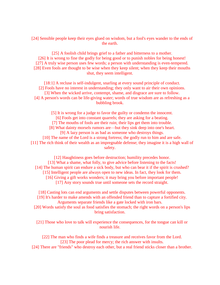[24] Sensible people keep their eyes glued on wisdom, but a fool's eyes wander to the ends of the earth.

[25] A foolish child brings grief to a father and bitterness to a mother. [26] It is wrong to fine the godly for being good or to punish nobles for being honest! [27] A truly wise person uses few words; a person with understanding is even-tempered. [28] Even fools are thought to be wise when they keep silent; when they keep their mouths shut, they seem intelligent.

[18:1] A recluse is self-indulgent, snarling at every sound principle of conduct. [2] Fools have no interest in understanding; they only want to air their own opinions. [3] When the wicked arrive, contempt, shame, and disgrace are sure to follow. [4] A person's words can be life-giving water; words of true wisdom are as refreshing as a bubbling brook.

[5] It is wrong for a judge to favor the guilty or condemn the innocent.

[6] Fools get into constant quarrels; they are asking for a beating.

[7] The mouths of fools are their ruin; their lips get them into trouble.

 [8] What dainty morsels rumors are—but they sink deep into one's heart. [9] A lazy person is as bad as someone who destroys things.

[10] The name of the Lord is a strong fortress; the godly run to him and are safe.

[11] The rich think of their wealth as an impregnable defense; they imagine it is a high wall of safety.

[12] Haughtiness goes before destruction; humility precedes honor.

[13] What a shame, what folly, to give advice before listening to the facts!

[14] The human spirit can endure a sick body, but who can bear it if the spirit is crushed?

[15] Intelligent people are always open to new ideas. In fact, they look for them.

[16] Giving a gift works wonders; it may bring you before important people!

[17] Any story sounds true until someone sets the record straight.

[18] Casting lots can end arguments and settle disputes between powerful opponents.

 [19] It's harder to make amends with an offended friend than to capture a fortified city. Arguments separate friends like a gate locked with iron bars.

 [20] Words satisfy the soul as food satisfies the stomach; the right words on a person's lips bring satisfaction.

 [21] Those who love to talk will experience the consequences, for the tongue can kill or nourish life.

 [22] The man who finds a wife finds a treasure and receives favor from the Lord. [23] The poor plead for mercy; the rich answer with insults.

[24] There are "friends" who destroy each other, but a real friend sticks closer than a brother.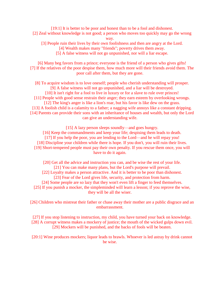[19:1] It is better to be poor and honest than to be a fool and dishonest. [2] Zeal without knowledge is not good; a person who moves too quickly may go the wrong

way.

[3] People ruin their lives by their own foolishness and then are angry at the Lord.

[4] Wealth makes many "friends"; poverty drives them away.

[5] A false witness will not go unpunished, nor will a liar escape.

 [6] Many beg favors from a prince; everyone is the friend of a person who gives gifts! [7] If the relatives of the poor despise them, how much more will their friends avoid them. The poor call after them, but they are gone.

 [8] To acquire wisdom is to love oneself; people who cherish understanding will prosper. [9] A false witness will not go unpunished, and a liar will be destroyed. [10] It isn't right for a fool to live in luxury or for a slave to rule over princes! [11] People with good sense restrain their anger; they earn esteem by overlooking wrongs. [12] The king's anger is like a lion's roar, but his favor is like dew on the grass. [13] A foolish child is a calamity to a father; a nagging wife annoys like a constant dripping. [14] Parents can provide their sons with an inheritance of houses and wealth, but only the Lord can give an understanding wife.

[15] A lazy person sleeps soundly—and goes hungry.

[16] Keep the commandments and keep your life; despising them leads to death. [17] If you help the poor, you are lending to the Lord—and he will repay you! [18] Discipline your children while there is hope. If you don't, you will ruin their lives. [19] Short-tempered people must pay their own penalty. If you rescue them once, you will have to do it again.

 [20] Get all the advice and instruction you can, and be wise the rest of your life. [21] You can make many plans, but the Lord's purpose will prevail.

- [22] Loyalty makes a person attractive. And it is better to be poor than dishonest. [23] Fear of the Lord gives life, security, and protection from harm.
- [24] Some people are so lazy that they won't even lift a finger to feed themselves.
- [25] If you punish a mocker, the simpleminded will learn a lesson; if you reprove the wise, they will be all the wiser.

 [26] Children who mistreat their father or chase away their mother are a public disgrace and an embarrassment.

 [27] If you stop listening to instruction, my child, you have turned your back on knowledge. [28] A corrupt witness makes a mockery of justice; the mouth of the wicked gulps down evil. [29] Mockers will be punished, and the backs of fools will be beaten.

[20:1] Wine produces mockers; liquor leads to brawls. Whoever is led astray by drink cannot be wise.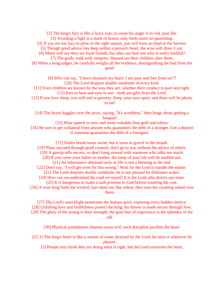[2] The king's fury is like a lion's roar; to rouse his anger is to risk your life. [3] Avoiding a fight is a mark of honor; only fools insist on quarreling. [4] If you are too lazy to plow in the right season, you will have no food at the harvest. [5] Though good advice lies deep within a person's heart, the wise will draw it out. [6] Many will say they are loyal friends, but who can find one who is really faithful? [7] The godly walk with integrity; blessed are their children after them. [8] When a king judges, he carefully weighs all the evidence, distinguishing the bad from the good.

 [9] Who can say, "I have cleansed my heart; I am pure and free from sin"? [10] The Lord despises double standards of every kind.

 [11] Even children are known by the way they act, whether their conduct is pure and right. [12] Ears to hear and eyes to see—both are gifts from the Lord.

[13] If you love sleep, you will end in poverty. Keep your eyes open, and there will be plenty to eat!

 [14] The buyer haggles over the price, saying, "It's worthless," then brags about getting a bargain!

[15] Wise speech is rarer and more valuable than gold and rubies. [16] Be sure to get collateral from anyone who guarantees the debt of a stranger. Get a deposit if someone guarantees the debt of a foreigner.

 [17] Stolen bread tastes sweet, but it turns to gravel in the mouth. [18] Plans succeed through good counsel; don't go to war without the advice of others. [19] A gossip tells secrets, so don't hang around with someone who talks too much. [20] If you curse your father or mother, the lamp of your life will be snuffed out. [21] An inheritance obtained early in life is not a blessing in the end. [22] Don't say, "I will get even for this wrong." Wait for the Lord to handle the matter. [23] The Lord despises double standards; he is not pleased by dishonest scales. [24] How can we understand the road we travel? It is the Lord who directs our steps. [25] It is dangerous to make a rash promise to God before counting the cost. [26] A wise king finds the wicked, lays them out like wheat, then runs the crushing wheel over

them.

 [27] The Lord's searchlight penetrates the human spirit, exposing every hidden motive. [28] Unfailing love and faithfulness protect the king; his throne is made secure through love. [29] The glory of the young is their strength; the gray hair of experience is the splendor of the old.

[30] Physical punishment cleanses away evil; such discipline purifies the heart.

[21:1] The king's heart is like a stream of water directed by the Lord; he turns it wherever he pleases.

[2] People may think they are doing what is right, but the Lord examines the heart.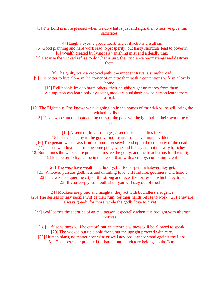[3] The Lord is more pleased when we do what is just and right than when we give him sacrifices.

[4] Haughty eyes, a proud heart, and evil actions are all sin.

- [5] Good planning and hard work lead to prosperity, but hasty shortcuts lead to poverty. [6] Wealth created by lying is a vanishing mist and a deadly trap.
- [7] Because the wicked refuse to do what is just, their violence boomerangs and destroys them.
- [8] The guilty walk a crooked path; the innocent travel a straight road. [9] It is better to live alone in the corner of an attic than with a contentious wife in a lovely

home.

- [10] Evil people love to harm others; their neighbors get no mercy from them.
- [11] A simpleton can learn only by seeing mockers punished; a wise person learns from instruction.
- [12] The Righteous One knows what is going on in the homes of the wicked; he will bring the wicked to disaster.
	- [13] Those who shut their ears to the cries of the poor will be ignored in their own time of need.

[14] A secret gift calms anger; a secret bribe pacifies fury. [15] Justice is a joy to the godly, but it causes dismay among evildoers. [16] The person who strays from common sense will end up in the company of the dead. [17] Those who love pleasure become poor; wine and luxury are not the way to riches. [18] Sometimes the wicked are punished to save the godly, and the treacherous for the upright. [19] It is better to live alone in the desert than with a crabby, complaining wife.

 [20] The wise have wealth and luxury, but fools spend whatever they get. [21] Whoever pursues godliness and unfailing love will find life, godliness, and honor. [22] The wise conquer the city of the strong and level the fortress in which they trust. [23] If you keep your mouth shut, you will stay out of trouble.

 [24] Mockers are proud and haughty; they act with boundless arrogance. [25] The desires of lazy people will be their ruin, for their hands refuse to work. [26] They are always greedy for more, while the godly love to give!

[27] God loathes the sacrifice of an evil person, especially when it is brought with ulterior motives.

- [28] A false witness will be cut off, but an attentive witness will be allowed to speak. [29] The wicked put up a bold front, but the upright proceed with care.
- [30] Human plans, no matter how wise or well advised, cannot stand against the Lord. [31] The horses are prepared for battle, but the victory belongs to the Lord.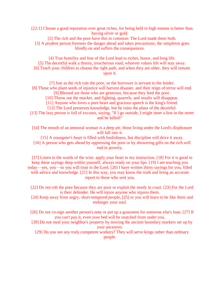[22:1] Choose a good reputation over great riches, for being held in high esteem is better than having silver or gold.

 [2] The rich and the poor have this in common: The Lord made them both. [3] A prudent person foresees the danger ahead and takes precautions; the simpleton goes blindly on and suffers the consequences.

 [4] True humility and fear of the Lord lead to riches, honor, and long life. [5] The deceitful walk a thorny, treacherous road; whoever values life will stay away. [6] Teach your children to choose the right path, and when they are older, they will remain upon it.

 [7] Just as the rich rule the poor, so the borrower is servant to the lender. [8] Those who plant seeds of injustice will harvest disaster, and their reign of terror will end.

[9] Blessed are those who are generous, because they feed the poor.

[10] Throw out the mocker, and fighting, quarrels, and insults will disappear.

[11] Anyone who loves a pure heart and gracious speech is the king's friend.

[12] The Lord preserves knowledge, but he ruins the plans of the deceitful.

- [13] The lazy person is full of excuses, saying, "If I go outside, I might meet a lion in the street and be killed!"
- [14] The mouth of an immoral woman is a deep pit; those living under the Lord's displeasure will fall into it.

[15] A youngster's heart is filled with foolishness, but discipline will drive it away.

 [16] A person who gets ahead by oppressing the poor or by showering gifts on the rich will end in poverty.

 [17] Listen to the words of the wise; apply your heart to my instruction. [18] For it is good to keep these sayings deep within yourself, always ready on your lips. [19] I am teaching you today—yes, you—so you will trust in the Lord. [20] I have written thirty sayings for you, filled with advice and knowledge. [21] In this way, you may know the truth and bring an accurate report to those who sent you.

- [22] Do not rob the poor because they are poor or exploit the needy in court. [23] For the Lord is their defender. He will injure anyone who injures them.
- [24] Keep away from angry, short-tempered people, [25] or you will learn to be like them and endanger your soul.
- [26] Do not co-sign another person's note or put up a guarantee for someone else's loan. [27] If you can't pay it, even your bed will be snatched from under you.
- [28] Do not steal your neighbor's property by moving the ancient boundary markers set up by your ancestors.

 [29] Do you see any truly competent workers? They will serve kings rather than ordinary people.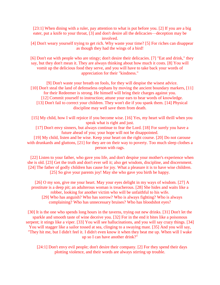[23:1] When dining with a ruler, pay attention to what is put before you. [2] If you are a big eater, put a knife to your throat, [3] and don't desire all the delicacies—deception may be involved.

 [4] Don't weary yourself trying to get rich. Why waste your time? [5] For riches can disappear as though they had the wings of a bird!

 [6] Don't eat with people who are stingy; don't desire their delicacies. [7] "Eat and drink," they say, but they don't mean it. They are always thinking about how much it costs. [8] You will vomit up the delicious food they serve, and you will have to take back your words of appreciation for their "kindness."

 [9] Don't waste your breath on fools, for they will despise the wisest advice. [10] Don't steal the land of defenseless orphans by moving the ancient boundary markers, [11] for their Redeemer is strong. He himself will bring their charges against you. [12] Commit yourself to instruction; attune your ears to hear words of knowledge. [13] Don't fail to correct your children. They won't die if you spank them. [14] Physical

discipline may well save them from death.

 [15] My child, how I will rejoice if you become wise. [16] Yes, my heart will thrill when you speak what is right and just.

 [17] Don't envy sinners, but always continue to fear the Lord. [18] For surely you have a future ahead of you; your hope will not be disappointed.

 [19] My child, listen and be wise. Keep your heart on the right course. [20] Do not carouse with drunkards and gluttons, [21] for they are on their way to poverty. Too much sleep clothes a person with rags.

 [22] Listen to your father, who gave you life, and don't despise your mother's experience when she is old. [23] Get the truth and don't ever sell it; also get wisdom, discipline, and discernment. [24] The father of godly children has cause for joy. What a pleasure it is to have wise children. [25] So give your parents joy! May she who gave you birth be happy.

 [26] O my son, give me your heart. May your eyes delight in my ways of wisdom. [27] A prostitute is a deep pit; an adulterous woman is treacherous. [28] She hides and waits like a robber, looking for another victim who will be unfaithful to his wife.

 [29] Who has anguish? Who has sorrow? Who is always fighting? Who is always complaining? Who has unnecessary bruises? Who has bloodshot eyes?

[30] It is the one who spends long hours in the taverns, trying out new drinks. [31] Don't let the sparkle and smooth taste of wine deceive you. [32] For in the end it bites like a poisonous serpent; it stings like a viper. [33] You will see hallucinations, and you will say crazy things. [34] You will stagger like a sailor tossed at sea, clinging to a swaying mast. [35] And you will say, "They hit me, but I didn't feel it. I didn't even know it when they beat me up. When will I wake up so I can have another drink?"

 [24:1] Don't envy evil people; don't desire their company. [2] For they spend their days plotting violence, and their words are always stirring up trouble.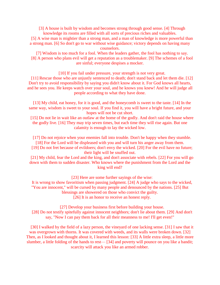[3] A house is built by wisdom and becomes strong through good sense. [4] Through knowledge its rooms are filled with all sorts of precious riches and valuables.

 [5] A wise man is mightier than a strong man, and a man of knowledge is more powerful than a strong man. [6] So don't go to war without wise guidance; victory depends on having many counselors.

 [7] Wisdom is too much for a fool. When the leaders gather, the fool has nothing to say. [8] A person who plans evil will get a reputation as a troublemaker. [9] The schemes of a fool are sinful; everyone despises a mocker.

[10] If you fail under pressure, your strength is not very great.

[11] Rescue those who are unjustly sentenced to death; don't stand back and let them die. [12] Don't try to avoid responsibility by saying you didn't know about it. For God knows all hearts, and he sees you. He keeps watch over your soul, and he knows you knew! And he will judge all people according to what they have done.

[13] My child, eat honey, for it is good, and the honeycomb is sweet to the taste. [14] In the same way, wisdom is sweet to your soul. If you find it, you will have a bright future, and your hopes will not be cut short.

[15] Do not lie in wait like an outlaw at the home of the godly. And don't raid the house where the godly live. [16] They may trip seven times, but each time they will rise again. But one calamity is enough to lay the wicked low.

 [17] Do not rejoice when your enemies fall into trouble. Don't be happy when they stumble. [18] For the Lord will be displeased with you and will turn his anger away from them.

[19] Do not fret because of evildoers; don't envy the wicked. [20] For the evil have no future; their light will be snuffed out.

 [21] My child, fear the Lord and the king, and don't associate with rebels. [22] For you will go down with them to sudden disaster. Who knows where the punishment from the Lord and the king will end?

[23] Here are some further sayings of the wise:

 It is wrong to show favoritism when passing judgment. [24] A judge who says to the wicked, "You are innocent," will be cursed by many people and denounced by the nations. [25] But blessings are showered on those who convict the guilty. [26] It is an honor to receive an honest reply.

 [27] Develop your business first before building your house. [28] Do not testify spitefully against innocent neighbors; don't lie about them. [29] And don't say, "Now I can pay them back for all their meanness to me! I'll get even!"

 [30] I walked by the field of a lazy person, the vineyard of one lacking sense. [31] I saw that it was overgrown with thorns. It was covered with weeds, and its walls were broken down. [32] Then, as I looked and thought about it, I learned this lesson: [33] A little extra sleep, a little more slumber, a little folding of the hands to rest— [34] and poverty will pounce on you like a bandit; scarcity will attack you like an armed robber.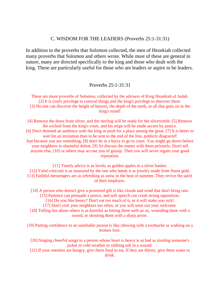#### C. WISDOM FOR THE LEADERS (Proverbs 25:1-31:31)

In addition to the proverbs that Solomon collected, the men of Hezekiah collected many proverbs that Solomon and others wrote. While most of these are general in nature, many are directed specifically to the king and those who dealt with the king. These are particularly useful for those who are leaders or aspire to be leaders.

#### Proverbs 25:1-31:31

These are more proverbs of Solomon, collected by the advisers of King Hezekiah of Judah. [2] It is God's privilege to conceal things and the king's privilege to discover them. [3] No one can discover the height of heaven, the depth of the earth, or all that goes on in the king's mind!

[4] Remove the dross from silver, and the sterling will be ready for the silversmith. [5] Remove the wicked from the king's court, and his reign will be made secure by justice. [6] Don't demand an audience with the king or push for a place among the great. [7] It is better to wait for an invitation than to be sent to the end of the line, publicly disgraced! Just because you see something, [8] don't be in a hurry to go to court. You might go down before your neighbors in shameful defeat. [9] So discuss the matter with them privately. Don't tell anyone else, [10] or others may accuse you of gossip. Then you will never regain your good reputation.

[11] Timely advice is as lovely as golden apples in a silver basket. [12] Valid criticism is as treasured by the one who heeds it as jewelry made from finest gold. [13] Faithful messengers are as refreshing as snow in the heat of summer. They revive the spirit of their employer.

[14] A person who doesn't give a promised gift is like clouds and wind that don't bring rain. [15] Patience can persuade a prince, and soft speech can crush strong opposition. [16] Do you like honey? Don't eat too much of it, or it will make you sick! [17] Don't visit your neighbors too often, or you will wear out your welcome. [18] Telling lies about others is as harmful as hitting them with an ax, wounding them with a sword, or shooting them with a sharp arrow.

[19] Putting confidence in an unreliable person is like chewing with a toothache or walking on a broken foot.

- [20] Singing cheerful songs to a person whose heart is heavy is as bad as stealing someone's jacket in cold weather or rubbing salt in a wound.
- [21] If your enemies are hungry, give them food to eat. If they are thirsty, give them water to drink.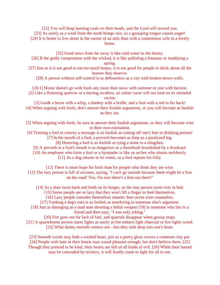[22] You will heap burning coals on their heads, and the Lord will reward you.

[23] As surely as a wind from the north brings rain, so a gossiping tongue causes anger!

[24] It is better to live alone in the corner of an attic than with a contentious wife in a lovely home.

[25] Good news from far away is like cold water to the thirsty.

- [26] If the godly compromise with the wicked, it is like polluting a fountain or muddying a spring.
- [27] Just as it is not good to eat too much honey, it is not good for people to think about all the honors they deserve.

[28] A person without self-control is as defenseless as a city with broken-down walls.

[26:1] Honor doesn't go with fools any more than snow with summer or rain with harvest. [2] Like a fluttering sparrow or a darting swallow, an unfair curse will not land on its intended victim.

[3] Guide a horse with a whip, a donkey with a bridle, and a fool with a rod to his back! [4] When arguing with fools, don't answer their foolish arguments, or you will become as foolish as they are.

[5] When arguing with fools, be sure to answer their foolish arguments, or they will become wise in their own estimation.

[6] Trusting a fool to convey a message is as foolish as cutting off one's feet or drinking poison! [7] In the mouth of a fool, a proverb becomes as limp as a paralyzed leg.

[8] Honoring a fool is as foolish as tying a stone to a slingshot.

[9] A proverb in a fool's mouth is as dangerous as a thornbush brandished by a drunkard.

[10] An employer who hires a fool or a bystander is like an archer who shoots recklessly.

[11] As a dog returns to its vomit, so a fool repeats his folly.

[12] There is more hope for fools than for people who think they are wise. [13] The lazy person is full of excuses, saying, "I can't go outside because there might be a lion on the road! Yes, I'm sure there's a lion out there!"

[14] As a door turns back and forth on its hinges, so the lazy person turns over in bed. [15] Some people are so lazy that they won't lift a finger to feed themselves.

[16] Lazy people consider themselves smarter than seven wise counselors.

[17] Yanking a dog's ears is as foolish as interfering in someone else's argument.

[18] Just as damaging as a mad man shooting a lethal weapon [19] is someone who lies to a friend and then says, "I was only joking."

[20] Fire goes out for lack of fuel, and quarrels disappear when gossip stops.

[21] A quarrelsome person starts fights as easily as hot embers light charcoal or fire lights wood.

[22] What dainty morsels rumors are—but they sink deep into one's heart.

[23] Smooth words may hide a wicked heart, just as a pretty glaze covers a common clay pot. [24] People with hate in their hearts may sound pleasant enough, but don't believe them. [25] Though they pretend to be kind, their hearts are full of all kinds of evil. [26] While their hatred may be concealed by trickery, it will finally come to light for all to see.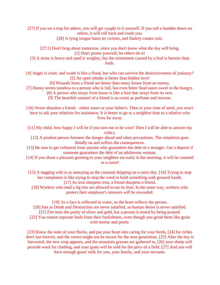[27] If you set a trap for others, you will get caught in it yourself. If you roll a boulder down on others, it will roll back and crush you.

[28] A lying tongue hates its victims, and flattery causes ruin.

[27:1] Don't brag about tomorrow, since you don't know what the day will bring. [2] Don't praise yourself; let others do it!

[3] A stone is heavy and sand is weighty, but the resentment caused by a fool is heavier than both.

[4] Anger is cruel, and wrath is like a flood, but who can survive the destructiveness of jealousy? [5] An open rebuke is better than hidden love!

[6] Wounds from a friend are better than many kisses from an enemy.

[7] Honey seems tasteless to a person who is full, but even bitter food tastes sweet to the hungry.

[8] A person who strays from home is like a bird that strays from its nest.

- [9] The heartfelt counsel of a friend is as sweet as perfume and incense.
- [10] Never abandon a friend—either yours or your father's. Then in your time of need, you won't have to ask your relatives for assistance. It is better to go to a neighbor than to a relative who lives far away.
- [11] My child, how happy I will be if you turn out to be wise! Then I will be able to answer my critics.
	- [12] A prudent person foresees the danger ahead and takes precautions. The simpleton goes blindly on and suffers the consequences.
- [13] Be sure to get collateral from anyone who guarantees the debt of a stranger. Get a deposit if someone guarantees the debt of an adulterous woman.
- [14] If you shout a pleasant greeting to your neighbor too early in the morning, it will be counted as a curse!
- [15] A nagging wife is as annoying as the constant dripping on a rainy day. [16] Trying to stop her complaints is like trying to stop the wind or hold something with greased hands. [17] As iron sharpens iron, a friend sharpens a friend.
	- [18] Workers who tend a fig tree are allowed to eat its fruit. In the same way, workers who protect their employer's interests will be rewarded.

[19] As a face is reflected in water, so the heart reflects the person.

- [20] Just as Death and Destruction are never satisfied, so human desire is never satisfied. [21] Fire tests the purity of silver and gold, but a person is tested by being praised.
- [22] You cannot separate fools from their foolishness, even though you grind them like grain with mortar and pestle.

[23] Know the state of your flocks, and put your heart into caring for your herds, [24] for riches don't last forever, and the crown might not be secure for the next generation. [25] After the hay is harvested, the new crop appears, and the mountain grasses are gathered in, [26] your sheep will provide wool for clothing, and your goats will be sold for the price of a field. [27] And you will have enough goats' milk for you, your family, and your servants.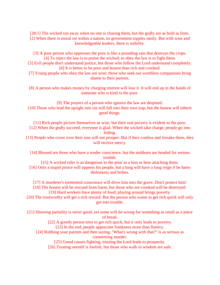[28:1] The wicked run away when no one is chasing them, but the godly are as bold as lions. [2] When there is moral rot within a nation, its government topples easily. But with wise and knowledgeable leaders, there is stability.

[3] A poor person who oppresses the poor is like a pounding rain that destroys the crops. [4] To reject the law is to praise the wicked; to obey the law is to fight them.

- [5] Evil people don't understand justice, but those who follow the Lord understand completely. [6] It is better to be poor and honest than rich and crooked.
- [7] Young people who obey the law are wise; those who seek out worthless companions bring shame to their parents.
- [8] A person who makes money by charging interest will lose it. It will end up in the hands of someone who is kind to the poor.

[9] The prayers of a person who ignores the law are despised.

[10] Those who lead the upright into sin will fall into their own trap, but the honest will inherit good things.

[11] Rich people picture themselves as wise, but their real poverty is evident to the poor.

- [12] When the godly succeed, everyone is glad. When the wicked take charge, people go into hiding.
- [13] People who cover over their sins will not prosper. But if they confess and forsake them, they will receive mercy.
	- [14] Blessed are those who have a tender conscience, but the stubborn are headed for serious trouble.
		- [15] A wicked ruler is as dangerous to the poor as a lion or bear attacking them.
	- [16] Only a stupid prince will oppress his people, but a king will have a long reign if he hates dishonesty and bribes.

[17] A murderer's tormented conscience will drive him into the grave. Don't protect him!

[18] The honest will be rescued from harm, but those who are crooked will be destroyed.

[19] Hard workers have plenty of food; playing around brings poverty.

[20] The trustworthy will get a rich reward. But the person who wants to get rich quick will only get into trouble.

[21] Showing partiality is never good, yet some will do wrong for something as small as a piece of bread.

[22] A greedy person tries to get rich quick, but it only leads to poverty.

- [23] In the end, people appreciate frankness more than flattery.
- [24] Robbing your parents and then saying, "What's wrong with that?" is as serious as committing murder.

[25] Greed causes fighting; trusting the Lord leads to prosperity.

[26] Trusting oneself is foolish, but those who walk in wisdom are safe.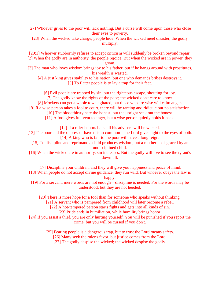- [27] Whoever gives to the poor will lack nothing. But a curse will come upon those who close their eyes to poverty.
	- [28] When the wicked take charge, people hide. When the wicked meet disaster, the godly multiply.

[29:1] Whoever stubbornly refuses to accept criticism will suddenly be broken beyond repair. [2] When the godly are in authority, the people rejoice. But when the wicked are in power, they

groan.

[3] The man who loves wisdom brings joy to his father, but if he hangs around with prostitutes, his wealth is wasted.

[4] A just king gives stability to his nation, but one who demands bribes destroys it. [5] To flatter people is to lay a trap for their feet.

[6] Evil people are trapped by sin, but the righteous escape, shouting for joy.

- [7] The godly know the rights of the poor; the wicked don't care to know.
- [8] Mockers can get a whole town agitated, but those who are wise will calm anger.

[9] If a wise person takes a fool to court, there will be ranting and ridicule but no satisfaction.

[10] The bloodthirsty hate the honest, but the upright seek out the honest.

[11] A fool gives full vent to anger, but a wise person quietly holds it back.

[12] If a ruler honors liars, all his advisers will be wicked.

- [13] The poor and the oppressor have this in common—the Lord gives light to the eyes of both. [14] A king who is fair to the poor will have a long reign.
	- [15] To discipline and reprimand a child produces wisdom, but a mother is disgraced by an undisciplined child.
- [16] When the wicked are in authority, sin increases. But the godly will live to see the tyrant's downfall.

[17] Discipline your children, and they will give you happiness and peace of mind.

- [18] When people do not accept divine guidance, they run wild. But whoever obeys the law is happy.
- [19] For a servant, mere words are not enough—discipline is needed. For the words may be understood, but they are not heeded.

[20] There is more hope for a fool than for someone who speaks without thinking.

[21] A servant who is pampered from childhood will later become a rebel.

[22] A hot-tempered person starts fights and gets into all kinds of sin.

[23] Pride ends in humiliation, while humility brings honor.

[24] If you assist a thief, you are only hurting yourself. You will be punished if you report the crime, but you will be cursed if you don't.

[25] Fearing people is a dangerous trap, but to trust the Lord means safety.

[26] Many seek the ruler's favor, but justice comes from the Lord.

[27] The godly despise the wicked; the wicked despise the godly.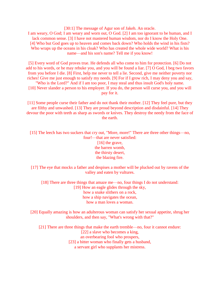[30:1] The message of Agur son of Jakeh. An oracle. I am weary, O God; I am weary and worn out, O God. [2] I am too ignorant to be human, and I lack common sense. [3] I have not mastered human wisdom, nor do I know the Holy One. [4] Who but God goes up to heaven and comes back down? Who holds the wind in his fists? Who wraps up the oceans in his cloak? Who has created the whole wide world? What is his name—and his son's name? Tell me if you know!

[5] Every word of God proves true. He defends all who come to him for protection. [6] Do not add to his words, or he may rebuke you, and you will be found a liar. [7] O God, I beg two favors from you before I die. [8] First, help me never to tell a lie. Second, give me neither poverty nor riches! Give me just enough to satisfy my needs. [9] For if I grow rich, I may deny you and say, "Who is the Lord?" And if I am too poor, I may steal and thus insult God's holy name. [10] Never slander a person to his employer. If you do, the person will curse you, and you will pay for it.

[11] Some people curse their father and do not thank their mother. [12] They feel pure, but they are filthy and unwashed. [13] They are proud beyond description and disdainful. [14] They devour the poor with teeth as sharp as swords or knives. They destroy the needy from the face of the earth.

[15] The leech has two suckers that cry out, "More, more!" There are three other things—no, four!—that are never satisfied:

> [16] the grave, the barren womb, the thirsty desert, the blazing fire.

[17] The eye that mocks a father and despises a mother will be plucked out by ravens of the valley and eaten by vultures.

[18] There are three things that amaze me—no, four things I do not understand: [19] How an eagle glides through the sky, how a snake slithers on a rock, how a ship navigates the ocean, how a man loves a woman.

[20] Equally amazing is how an adulterous woman can satisfy her sexual appetite, shrug her shoulders, and then say, "What's wrong with that?"

[21] There are three things that make the earth tremble—no, four it cannot endure: [22] a slave who becomes a king, an overbearing fool who prospers, [23] a bitter woman who finally gets a husband, a servant girl who supplants her mistress.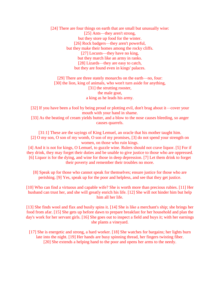[24] There are four things on earth that are small but unusually wise: [25] Ants—they aren't strong, but they store up food for the winter. [26] Rock badgers—they aren't powerful, but they make their homes among the rocky cliffs. [27] Locusts—they have no king, but they march like an army in ranks. [28] Lizards—they are easy to catch, but they are found even in kings' palaces.

[29] There are three stately monarchs on the earth—no, four: [30] the lion, king of animals, who won't turn aside for anything, [31] the strutting rooster, the male goat, a king as he leads his army.

[32] If you have been a fool by being proud or plotting evil, don't brag about it—cover your mouth with your hand in shame.

[33] As the beating of cream yields butter, and a blow to the nose causes bleeding, so anger causes quarrels.

[31:1] These are the sayings of King Lemuel, an oracle that his mother taught him. [2] O my son, O son of my womb, O son of my promises, [3] do not spend your strength on women, on those who ruin kings.

[4] And it is not for kings, O Lemuel, to guzzle wine. Rulers should not crave liquor. [5] For if they drink, they may forget their duties and be unable to give justice to those who are oppressed. [6] Liquor is for the dying, and wine for those in deep depression. [7] Let them drink to forget their poverty and remember their troubles no more.

[8] Speak up for those who cannot speak for themselves; ensure justice for those who are perishing. [9] Yes, speak up for the poor and helpless, and see that they get justice.

[10] Who can find a virtuous and capable wife? She is worth more than precious rubies. [11] Her husband can trust her, and she will greatly enrich his life. [12] She will not hinder him but help him all her life.

[13] She finds wool and flax and busily spins it. [14] She is like a merchant's ship; she brings her food from afar. [15] She gets up before dawn to prepare breakfast for her household and plan the day's work for her servant girls. [16] She goes out to inspect a field and buys it; with her earnings she plants a vineyard.

[17] She is energetic and strong, a hard worker. [18] She watches for bargains; her lights burn late into the night. [19] Her hands are busy spinning thread, her fingers twisting fiber. [20] She extends a helping hand to the poor and opens her arms to the needy.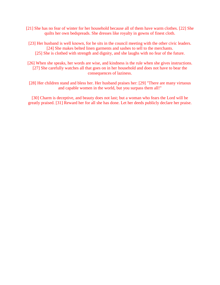- [21] She has no fear of winter for her household because all of them have warm clothes. [22] She quilts her own bedspreads. She dresses like royalty in gowns of finest cloth.
- [23] Her husband is well known, for he sits in the council meeting with the other civic leaders. [24] She makes belted linen garments and sashes to sell to the merchants. [25] She is clothed with strength and dignity, and she laughs with no fear of the future.
- [26] When she speaks, her words are wise, and kindness is the rule when she gives instructions. [27] She carefully watches all that goes on in her household and does not have to bear the consequences of laziness.
- [28] Her children stand and bless her. Her husband praises her: [29] "There are many virtuous and capable women in the world, but you surpass them all!"

[30] Charm is deceptive, and beauty does not last; but a woman who fears the Lord will be greatly praised. [31] Reward her for all she has done. Let her deeds publicly declare her praise.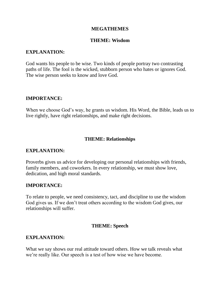#### **MEGATHEMES**

#### **THEME: Wisdom**

#### **EXPLANATION:**

God wants his people to be wise. Two kinds of people portray two contrasting paths of life. The fool is the wicked, stubborn person who hates or ignores God. The wise person seeks to know and love God.

#### **IMPORTANCE:**

When we choose God's way, he grants us wisdom. His Word, the Bible, leads us to live rightly, have right relationships, and make right decisions.

#### **THEME: Relationships**

#### **EXPLANATION:**

Proverbs gives us advice for developing our personal relationships with friends, family members, and coworkers. In every relationship, we must show love, dedication, and high moral standards.

#### **IMPORTANCE:**

To relate to people, we need consistency, tact, and discipline to use the wisdom God gives us. If we don't treat others according to the wisdom God gives, our relationships will suffer.

#### **THEME: Speech**

#### **EXPLANATION:**

What we say shows our real attitude toward others. How we talk reveals what we're really like. Our speech is a test of how wise we have become.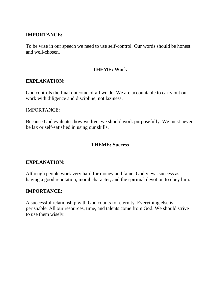## **IMPORTANCE:**

To be wise in our speech we need to use self-control. Our words should be honest and well-chosen.

#### **THEME: Work**

#### **EXPLANATION:**

God controls the final outcome of all we do. We are accountable to carry out our work with diligence and discipline, not laziness.

#### IMPORTANCE:

Because God evaluates how we live, we should work purposefully. We must never be lax or self-satisfied in using our skills.

### **THEME: Success**

#### **EXPLANATION:**

Although people work very hard for money and fame, God views success as having a good reputation, moral character, and the spiritual devotion to obey him.

### **IMPORTANCE:**

A successful relationship with God counts for eternity. Everything else is perishable. All our resources, time, and talents come from God. We should strive to use them wisely.